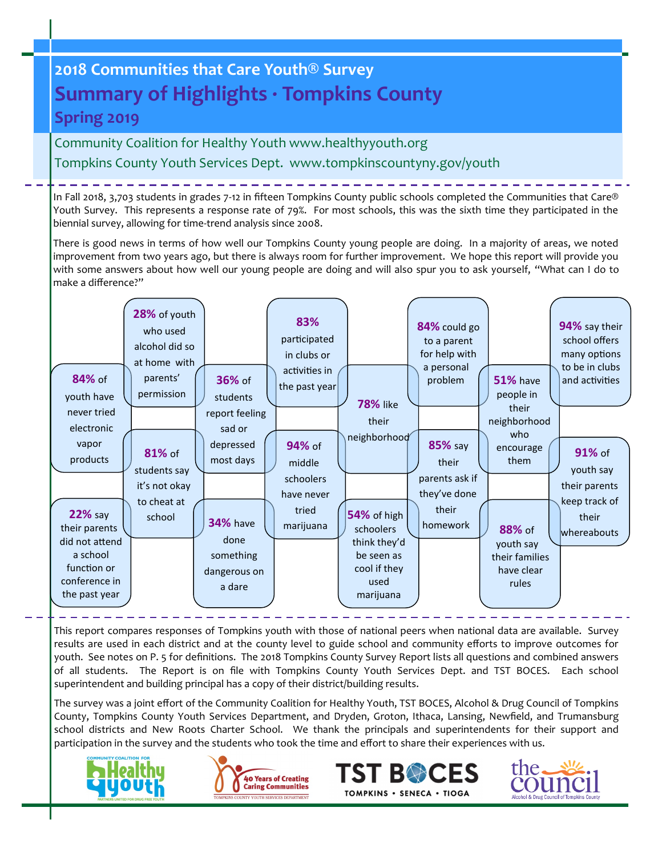# **2018 Communities that Care Youth® Survey Summary of Highlights · Tompkins County Spring 2019**

Community Coalition for Healthy Youth www.healthyyouth.org Tompkins County Youth Services Dept. www.tompkinscountyny.gov/youth

In Fall 2018, 3,703 students in grades 7-12 in fifteen Tompkins County public schools completed the Communities that Care® Youth Survey. This represents a response rate of 79%. For most schools, this was the sixth time they participated in the biennial survey, allowing for time-trend analysis since 2008.

There is good news in terms of how well our Tompkins County young people are doing. In a majority of areas, we noted improvement from two years ago, but there is always room for further improvement. We hope this report will provide you with some answers about how well our young people are doing and will also spur you to ask yourself, "What can I do to make a difference?"

| 84% of<br>youth have                                                                                           | 28% of youth<br>who used<br>alcohol did so<br>at home with<br>parents'<br>permission | <b>36%</b> of<br>students                                      | 83%<br>participated<br>in clubs or<br>activities in<br>the past year | <b>78% like</b>                                                                             | 84% could go<br>to a parent<br>for help with<br>a personal<br>problem | <b>51%</b> have<br>people in<br>their                        | 94% say their<br>school offers<br>many options<br>to be in clubs<br>and activities |
|----------------------------------------------------------------------------------------------------------------|--------------------------------------------------------------------------------------|----------------------------------------------------------------|----------------------------------------------------------------------|---------------------------------------------------------------------------------------------|-----------------------------------------------------------------------|--------------------------------------------------------------|------------------------------------------------------------------------------------|
| never tried<br>electronic<br>vapor<br>products                                                                 | 81% of<br>students say<br>it's not okay<br>to cheat at                               | report feeling<br>sad or<br>depressed<br>most days             | 94% of<br>middle<br>schoolers<br>have never                          | their<br>neighborhood                                                                       | <b>85%</b> say<br>their<br>parents ask if<br>they've done             | neighborhood<br>who<br>encourage<br>them                     | 91% of<br>youth say<br>their parents<br>keep track of                              |
| <b>22% say</b><br>their parents<br>did not attend<br>a school<br>function or<br>conference in<br>the past year | school                                                                               | <b>34%</b> have<br>done<br>something<br>dangerous on<br>a dare | tried<br>marijuana                                                   | 54% of high<br>schoolers<br>think they'd<br>be seen as<br>cool if they<br>used<br>marijuana | their<br>homework                                                     | 88% of<br>youth say<br>their families<br>have clear<br>rules | their<br>whereabouts                                                               |

This report compares responses of Tompkins youth with those of national peers when national data are available. Survey results are used in each district and at the county level to guide school and community efforts to improve outcomes for youth. See notes on P. 5 for definitions. The 2018 Tompkins County Survey Report lists all questions and combined answers of all students. The Report is on file with Tompkins County Youth Services Dept. and TST BOCES. Each school superintendent and building principal has a copy of their district/building results.

The survey was a joint effort of the Community Coalition for Healthy Youth, TST BOCES, Alcohol & Drug Council of Tompkins County, Tompkins County Youth Services Department, and Dryden, Groton, Ithaca, Lansing, Newfield, and Trumansburg school districts and New Roots Charter School. We thank the principals and superintendents for their support and participation in the survey and the students who took the time and effort to share their experiences with us.







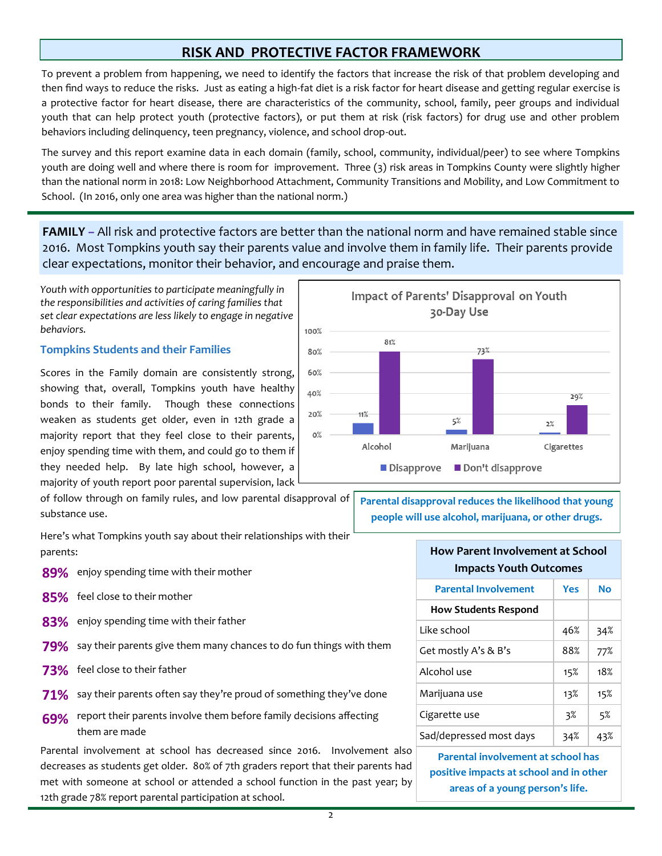## **RISK AND PROTECTIVE FACTOR FRAMEWORK**

To prevent a problem from happening, we need to identify the factors that increase the risk of that problem developing and then find ways to reduce the risks. Just as eating a high-fat diet is a risk factor for heart disease and getting regular exercise is a protective factor for heart disease, there are characteristics of the community, school, family, peer groups and individual youth that can help protect youth (protective factors), or put them at risk (risk factors) for drug use and other problem behaviors including delinquency, teen pregnancy, violence, and school drop-out.

The survey and this report examine data in each domain (family, school, community, individual/peer) to see where Tompkins youth are doing well and where there is room for improvement. Three (3) risk areas in Tompkins County were slightly higher than the national norm in 2018: Low Neighborhood Attachment, Community Transitions and Mobility, and Low Commitment to School. (In 2016, only one area was higher than the national norm.)

**FAMILY** *–* All risk and protective factors are better than the national norm and have remained stable since 2016. Most Tompkins youth say their parents value and involve them in family life. Their parents provide clear expectations, monitor their behavior, and encourage and praise them.

*Youth with opportunities to participate meaningfully in the responsibilities and activities of caring families that set clear expectations are less likely to engage in negative behaviors.* 

### **Tompkins Students and their Families**

Scores in the Family domain are consistently strong, showing that, overall, Tompkins youth have healthy bonds to their family. Though these connections weaken as students get older, even in 12th grade a majority report that they feel close to their parents, enjoy spending time with them, and could go to them if they needed help. By late high school, however, a majority of youth report poor parental supervision, lack

of follow through on family rules, and low parental disapproval of substance use.

Here's what Tompkins youth say about their relationships with their parents:

- **89%** enjoy spending time with their mother
- **85%** feel close to their mother
- **83%** enjoy spending time with their father
- **79%** say their parents give them many chances to do fun things with them
- **73%** feel close to their father
- **71%** say their parents often say they're proud of something they've done
- **69%** report their parents involve them before family decisions affecting them are made

Parental involvement at school has decreased since 2016. Involvement also decreases as students get older. 80% of 7th graders report that their parents had met with someone at school or attended a school function in the past year; by 12th grade 78% report parental participation at school.



**Parental disapproval reduces the likelihood that young people will use alcohol, marijuana, or other drugs.**

## **How Parent Involvement at School Impacts Youth Outcomes Parental Involvement | Yes | No How Students Respond** Like school  $46\%$  34%

| Get mostly A's & B's    | 88% | 77% |
|-------------------------|-----|-----|
| Alcohol use             | 15% | 18% |
| Marijuana use           | 13% | 15% |
| Cigarette use           | 3%  | 5%  |
| Sad/depressed most days | 34% | 43% |

**Parental involvement at school has positive impacts at school and in other areas of a young person's life.**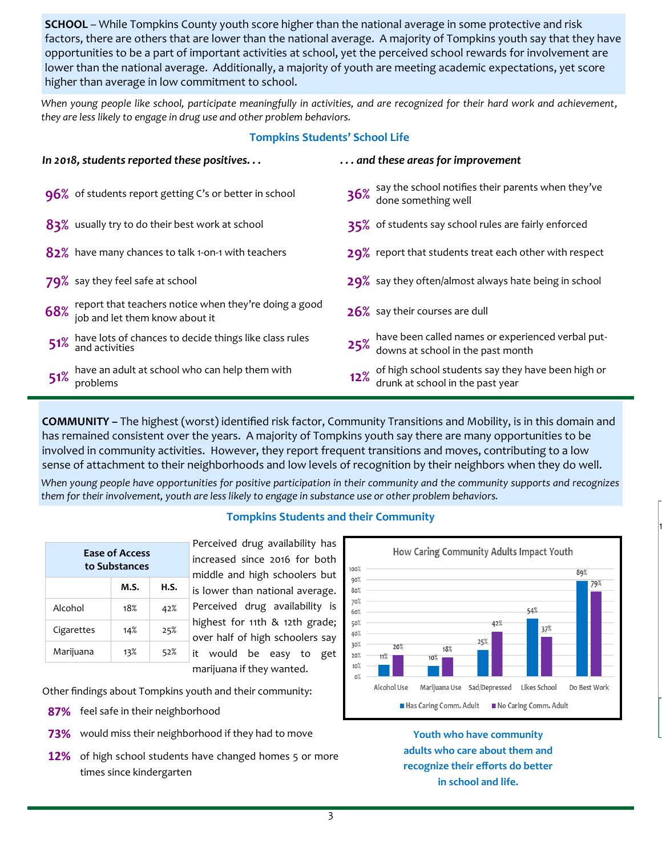**SCHOOL** – While Tompkins County youth score higher than the national average in some protective and risk factors, there are others that are lower than the national average. A majority of Tompkins youth say that they have opportunities to be a part of important activities at school, yet the perceived school rewards for involvement are lower than the national average. Additionally, a majority of youth are meeting academic expectations, yet score higher than average in low commitment to school.

*When young people like school, participate meaningfully in activities, and are recognized for their hard work and achievement, they are less likely to engage in drug use and other problem behaviors.* 

## **Tompkins Students' School Life**

| In 2018, students reported these positives                                                      | and these areas for improvement                                                                |
|-------------------------------------------------------------------------------------------------|------------------------------------------------------------------------------------------------|
| 96% of students report getting C's or better in school                                          | 36% say the school notifies their parents when they've<br>done something well                  |
| 83% usually try to do their best work at school                                                 | 35% of students say school rules are fairly enforced                                           |
| 82% have many chances to talk 1-on-1 with teachers                                              | 29% report that students treat each other with respect                                         |
| 79% say they feel safe at school                                                                | 29% say they often/almost always hate being in school                                          |
| 68% report that teachers notice when they're doing a good<br>68% job and let them know about it | 26% say their courses are dull                                                                 |
| 51% have lots of chances to decide things like class rules<br>51% and activities                | 25% have been called names or experienced verbal put-<br>25% downs at school in the past month |
| 51% have an adult at school who can help them with<br>$51\%$ problems                           | 12% of high school students say they have been high or<br>12% drunk at school in the past year |

**COMMUNITY** *–* The highest (worst) identified risk factor, Community Transitions and Mobility, is in this domain and has remained consistent over the years. A majority of Tompkins youth say there are many opportunities to be involved in community activities. However, they report frequent transitions and moves, contributing to a low sense of attachment to their neighborhoods and low levels of recognition by their neighbors when they do well.

*When young people have opportunities for positive participation in their community and the community supports and recognizes them for their involvement, youth are less likely to engage in substance use or other problem behaviors.* 

| <b>Ease of Access</b><br>to Substances |      |      |  |  |
|----------------------------------------|------|------|--|--|
|                                        | M.S. | H.S. |  |  |
| Alcohol                                | 18%  | 42%  |  |  |
| Cigarettes                             | 14%  | 25%  |  |  |
| Marijuana                              | 13%  | 52%  |  |  |

**Tompkins Students and their Community**

Perceived drug availability has increased since 2016 for both middle and high schoolers but is lower than national average. Perceived drug availability is highest for 11th & 12th grade; over half of high schoolers say it would be easy to get marijuana if they wanted.

Other findings about Tompkins youth and their community:

- **87%** feel safe in their neighborhood
- **73%** would miss their neighborhood if they had to move
- **12%** of high school students have changed homes 5 or more times since kindergarten



1

**Youth who have community adults who care about them and recognize their efforts do better in school and life.**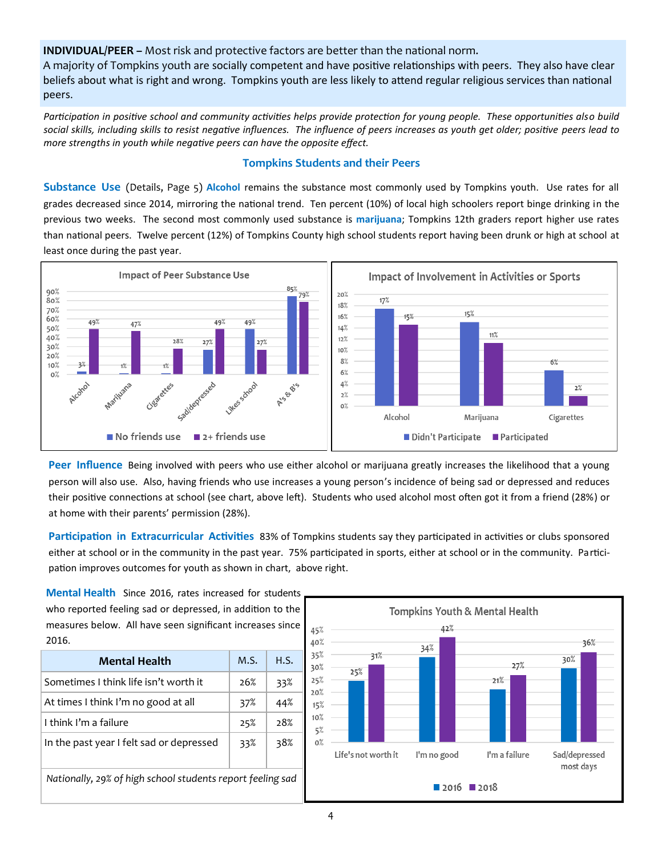**INDIVIDUAL/PEER –** Most risk and protective factors are better than the national norm.

A majority of Tompkins youth are socially competent and have positive relationships with peers. They also have clear beliefs about what is right and wrong. Tompkins youth are less likely to attend regular religious services than national peers.

*Participation in positive school and community activities helps provide protection for young people. These opportunities also build social skills, including skills to resist negative influences. The influence of peers increases as youth get older; positive peers lead to more strengths in youth while negative peers can have the opposite effect.* 

### **Tompkins Students and their Peers**

**Substance Use** (Details, Page 5) **Alcohol** remains the substance most commonly used by Tompkins youth. Use rates for all grades decreased since 2014, mirroring the national trend. Ten percent (10%) of local high schoolers report binge drinking in the previous two weeks. The second most commonly used substance is **marijuana**; Tompkins 12th graders report higher use rates than national peers. Twelve percent (12%) of Tompkins County high school students report having been drunk or high at school at least once during the past year.



**Peer Influence** Being involved with peers who use either alcohol or marijuana greatly increases the likelihood that a young person will also use. Also, having friends who use increases a young person's incidence of being sad or depressed and reduces their positive connections at school (see chart, above left). Students who used alcohol most often got it from a friend (28%) or at home with their parents' permission (28%).

**Participation in Extracurricular Activities** 83% of Tompkins students say they participated in activities or clubs sponsored either at school or in the community in the past year. 75% participated in sports, either at school or in the community. Participation improves outcomes for youth as shown in chart, above right.

**Mental Health** Since 2016, rates increased for students who reported feeling sad or depressed, in addition to the measures below. All have seen significant increases since 2016.

| Mental Health                                              | M.S. | H.S. |  |
|------------------------------------------------------------|------|------|--|
| Sometimes I think life isn't worth it                      | 26%  | 33%  |  |
| At times I think I'm no good at all                        | 37%  | 44%  |  |
| I think I'm a failure                                      | 25%  | 28%  |  |
| In the past year I felt sad or depressed                   | 33%  | 38%  |  |
| Nationally, 29% of high school students report feeling sad |      |      |  |

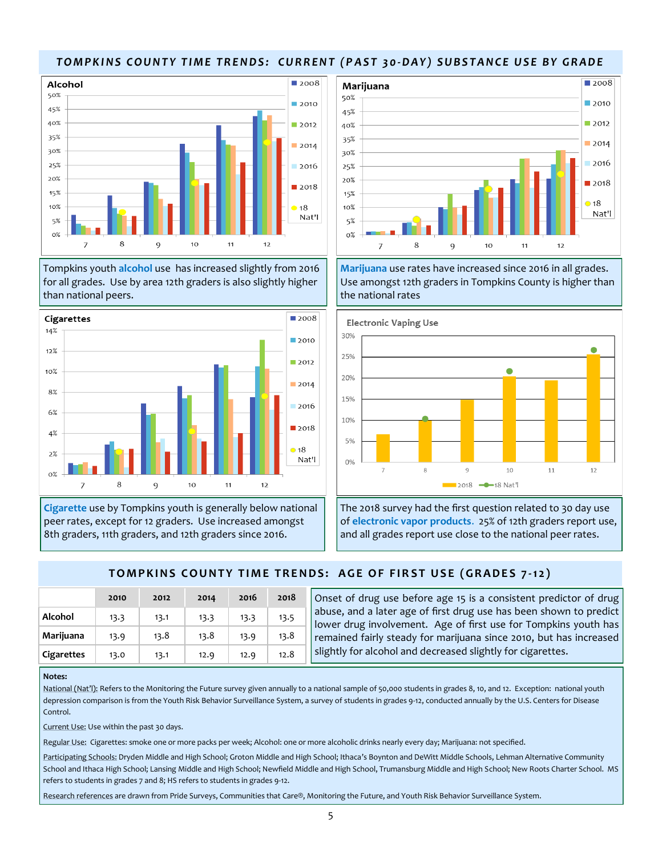## *T O M P K I N S C O U N T Y T I M E T R E N D S : C U R R E N T ( P A S T 3 0-D A Y ) S U B S T A N C E U S E B Y G R A D E*



Tompkins youth **alcohol** use has increased slightly from 2016 for all grades. Use by area 12th graders is also slightly higher than national peers.



**Cigarette** use by Tompkins youth is generally below national peer rates, except for 12 graders. Use increased amongst 8th graders, 11th graders, and 12th graders since 2016.



**Marijuana** use rates have increased since 2016 in all grades. Use amongst 12th graders in Tompkins County is higher than the national rates



The 2018 survey had the first question related to 30 day use of **electronic vapor products**. 25% of 12th graders report use, and all grades report use close to the national peer rates.

## **TOMPKINS COUNTY TIME TRENDS: AGE OF FIRST USE (GRADES 7-12)**

|            | 2010 | 2012 | 2014 | 2016 | 2018 |
|------------|------|------|------|------|------|
| Alcohol    | 13.3 | 13.1 | 13.3 | 13.3 | 13.5 |
| Marijuana  | 13.9 | 13.8 | 13.8 | 13.9 | 13.8 |
| Cigarettes | 13.0 | 13.1 | 12.9 | 12.9 | 12.8 |

Onset of drug use before age 15 is a consistent predictor of drug abuse, and a later age of first drug use has been shown to predict lower drug involvement. Age of first use for Tompkins youth has remained fairly steady for marijuana since 2010, but has increased slightly for alcohol and decreased slightly for cigarettes.

#### **Notes:**

National (Nat'l): Refers to the Monitoring the Future survey given annually to a national sample of 50,000 students in grades 8, 10, and 12. Exception: national youth depression comparison is from the Youth Risk Behavior Surveillance System, a survey of students in grades 9-12, conducted annually by the U.S. Centers for Disease Control.

Current Use: Use within the past 30 days.

Regular Use: Cigarettes: smoke one or more packs per week; Alcohol: one or more alcoholic drinks nearly every day; Marijuana: not specified.

Participating Schools: Dryden Middle and High School; Groton Middle and High School; Ithaca's Boynton and DeWitt Middle Schools, Lehman Alternative Community School and Ithaca High School; Lansing Middle and High School; Newfield Middle and High School, Trumansburg Middle and High School; New Roots Charter School. MS refers to students in grades 7 and 8; HS refers to students in grades 9-12.

Research references are drawn from Pride Surveys, Communities that Care®, Monitoring the Future, and Youth Risk Behavior Surveillance System.